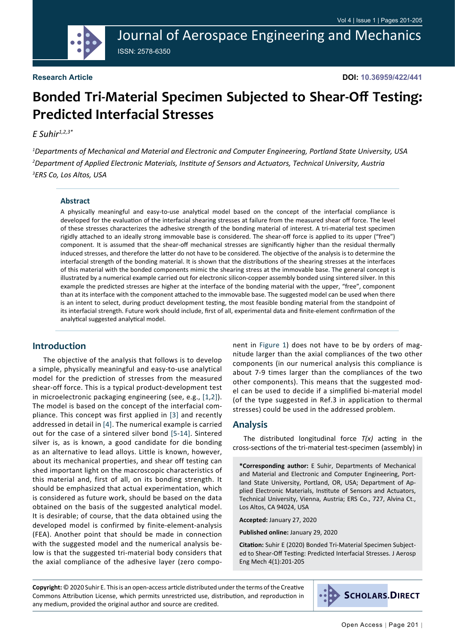Journal of Aerospace Engineering and Mechanics ISSN: 2578-6350

# **Bonded Tri-Material Specimen Subjected to Shear-Off Testing: Predicted Interfacial Stresses**

*E Suhir1,2,3\**

*1 Departments of Mechanical and Material and Electronic and Computer Engineering, Portland State University, USA 2 Department of Applied Electronic Materials, Institute of Sensors and Actuators, Technical University, Austria 3 ERS Co, Los Altos, USA*

#### **Abstract**

A physically meaningful and easy-to-use analytical model based on the concept of the interfacial compliance is developed for the evaluation of the interfacial shearing stresses at failure from the measured shear off force. The level of these stresses characterizes the adhesive strength of the bonding material of interest. A tri-material test specimen rigidly attached to an ideally strong immovable base is considered. The shear-off force is applied to its upper ("free") component. It is assumed that the shear-off mechanical stresses are significantly higher than the residual thermally induced stresses, and therefore the latter do not have to be considered. The objective of the analysis is to determine the interfacial strength of the bonding material. It is shown that the distributions of the shearing stresses at the interfaces of this material with the bonded components mimic the shearing stress at the immovable base. The general concept is illustrated by a numerical example carried out for electronic silicon-copper assembly bonded using sintered silver. In this example the predicted stresses are higher at the interface of the bonding material with the upper, "free", component than at its interface with the component attached to the immovable base. The suggested model can be used when there is an intent to select, during product development testing, the most feasible bonding material from the standpoint of its interfacial strength. Future work should include, first of all, experimental data and finite-element confirmation of the analytical suggested analytical model.

#### **Introduction**

The objective of the analysis that follows is to develop a simple, physically meaningful and easy-to-use analytical model for the prediction of stresses from the measured shear-off force. This is a typical product-development test in microelectronic packaging engineering (see, e.g., [\[1](#page-4-0),[2\]](#page-4-1)). The model is based on the concept of the interfacial compliance. This concept was first applied in [\[3\]](#page-4-2) and recently addressed in detail in [[4](#page-4-3)]. The numerical example is carried out for the case of a sintered silver bond [[5](#page-4-4)[-14\]](#page-4-5). Sintered silver is, as is known, a good candidate for die bonding as an alternative to lead alloys. Little is known, however, about its mechanical properties, and shear off testing can shed important light on the macroscopic characteristics of this material and, first of all, on its bonding strength. It should be emphasized that actual experimentation, which is considered as future work, should be based on the data obtained on the basis of the suggested analytical model. It is desirable; of course, that the data obtained using the developed model is confirmed by finite-element-analysis (FEA). Another point that should be made in connection with the suggested model and the numerical analysis below is that the suggested tri-material body considers that the axial compliance of the adhesive layer (zero component in [Figure 1\)](#page-1-0) does not have to be by orders of magnitude larger than the axial compliances of the two other components (in our numerical analysis this compliance is about 7-9 times larger than the compliances of the two other components). This means that the suggested model can be used to decide if a simplified bi-material model (of the type suggested in Ref.3 in application to thermal stresses) could be used in the addressed problem.

#### **Analysis**

The distributed longitudinal force *T(x)* acting in the cross-sections of the tri-material test-specimen (assembly) in

**\*Corresponding author:** E Suhir, Departments of Mechanical and Material and Electronic and Computer Engineering, Portland State University, Portland, OR, USA; Department of Applied Electronic Materials, Institute of Sensors and Actuators, Technical University, Vienna, Austria; ERS Co., 727, Alvina Ct., Los Altos, CA 94024, USA

**Accepted:** January 27, 2020

**Published online:** January 29, 2020

**Citation:** Suhir E (2020) Bonded Tri-Material Specimen Subjected to Shear-Off Testing: Predicted Interfacial Stresses. J Aerosp Eng Mech 4(1):201-205

**Copyright:** © 2020 Suhir E. This is an open-access article distributed under the terms of the Creative Commons Attribution License, which permits unrestricted use, distribution, and reproduction in any medium, provided the original author and source are credited.

**SCHOLARS.DIRECT**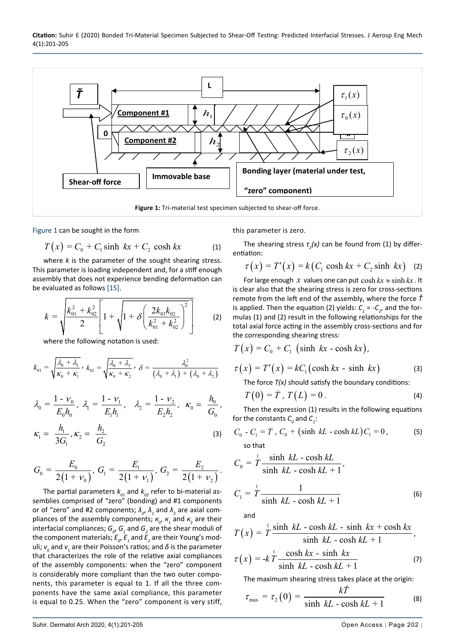**Citation:** Suhir E (2020) Bonded Tri-Material Specimen Subjected to Shear-Off Testing: Predicted Interfacial Stresses. J Aerosp Eng Mech 4(1):201-205

<span id="page-1-0"></span>

[Figure 1](#page-1-0) can be sought in the form

$$
T(x) = C_0 + C_1 \sinh kx + C_2 \cosh kx \tag{1}
$$

where *k* is the parameter of the sought shearing stress. This parameter is loading independent and, for a stiff enough assembly that does not experience bending deformation can be evaluated as follows [\[15](#page-4-6)].

$$
k = \sqrt{\frac{k_{01}^2 + k_{02}^2}{2}} \left[ 1 + \sqrt{1 + \delta \left( \frac{2k_{01}k_{02}}{k_{01}^2 + k_{02}^2} \right)^2} \right]
$$
 (2)

where the following notation is used:

$$
k_{01} = \sqrt{\frac{\lambda_0 + \lambda_1}{\kappa_0 + \kappa_1}}, \ k_{02} = \sqrt{\frac{\lambda_0 + \lambda_2}{\kappa_0 + \kappa_2}}, \ \delta = \frac{\lambda_0^2}{(\lambda_0 + \lambda_1) + (\lambda_0 + \lambda_2)}
$$

$$
\lambda_0 = \frac{1 - \nu_0}{E_0 h_0}, \ \lambda_1 = \frac{1 - \nu_1}{E_1 h_1}, \quad \lambda_2 = \frac{1 - \nu_2}{E_2 h_2}, \ \ \kappa_0 = \frac{h_0}{G_0},
$$

$$
\kappa_1 = \frac{h_1}{3G_1}, \kappa_2 = \frac{h_2}{G_2} \tag{3}
$$

$$
G_0 = \frac{E_0}{2(1 + v_0)}, \ G_1 = \frac{E_1}{2(1 + v_1)}, \ G_2 = \frac{E_2}{2(1 + v_2)}.
$$

The partial parameters  $k_{01}$  and  $k_{02}$  refer to bi-material assemblies comprised of "zero" (bonding) and #1 components or of "zero" and #2 components;  $\lambda_{o'}^{\phantom{\dag}}$   $\lambda_{_1}^{\phantom{\dag}}$  and  $\lambda_{_2}^{\phantom{\dag}}$  are axial compliances of the assembly components;  $\kappa_{o}$ ,  $\kappa_{1}$  and  $\kappa_{2}$  are their interfacial compliances;  $G_{o}$ ,  $G_{1}$  and  $G_{2}$  are the shear moduli of the component materials;  $E_{o'}$   $E_{_1}$  and  $E_{_2}$  are their Young's moduli; *v*<sub>0</sub> and *v*<sub>1</sub> are their Poisson's ratios; and *δ* is the parameter that characterizes the role of the relative axial compliances of the assembly components: when the "zero" component is considerably more compliant than the two outer components, this parameter is equal to 1. If all the three components have the same axial compliance, this parameter is equal to 0.25. When the "zero" component is very stiff,

this parameter is zero.

The shearing stress  $τ<sub>2</sub>(x)$  can be found from (1) by differentiation:

$$
\tau(x) = T'(x) = k(C_1 \cosh kx + C_2 \sinh kx)
$$
 (2)

For large enough *x* values one can put  $\cosh kx \approx \sinh kx$ . It is clear also that the shearing stress is zero for cross-sections remote from the left end of the assembly, where the force *Ť* is applied. Then the equation (2) yields:  $C_1 = -C_2$ , and the formulas (1) and (2) result in the following relationships for the total axial force acting in the assembly cross-sections and for the corresponding shearing stress:

$$
T(x) = C_0 + C_1 \left(\sinh kx - \cosh kx\right),
$$
  
\n
$$
\tau(x) = T'(x) = kC_1 \left(\cosh kx - \sinh kx\right)
$$
 (3)

The force 
$$
T(x)
$$
 should satisfy the boundary conditions:  
\n $T(0) = \tilde{T}$ ,  $T(L) = 0$ . (4)

Then the expression (1) results in the following equations for the constants  $C_o$  and  $C_i$ :

$$
C_0 - C_1 = \tilde{T}
$$
,  $C_0 + (\sinh kL - \cosh kL)C_1 = 0$ , (5)

so that

$$
C_0 = \hat{T} \frac{\sinh(kL - \cosh kL)}{\sinh(kL - \cosh(kL + 1))}
$$

$$
C_1 = \hat{T} \frac{1}{\sinh(kL - \cosh(kL + 1))}
$$
(6)

and

$$
T(x) = \frac{1}{T} \frac{\sinh kL - \cosh kL - \sinh kx + \cosh kx}{\sinh kL - \cosh kL + 1},
$$

$$
\tau(x) = -k \frac{1}{T} \frac{\cosh kx - \sinh kx}{\sinh kL - \cosh kL + 1}
$$
(7)

The maximum shearing stress takes place at the origin:

$$
\tau_{\text{max}} = \tau_2(0) = \frac{k\dot{T}}{\sinh \, kL - \cosh kL + 1} \tag{8}
$$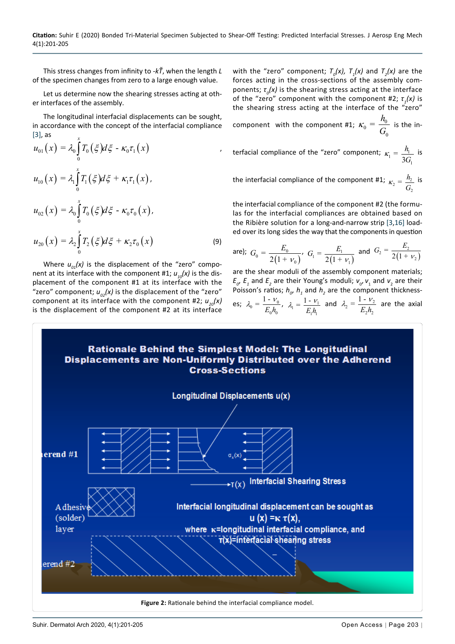**Citation:** Suhir E (2020) Bonded Tri-Material Specimen Subjected to Shear-Off Testing: Predicted Interfacial Stresses. J Aerosp Eng Mech 4(1):201-205

This stress changes from infinity to *-kŤ*, when the length *L*  of the specimen changes from zero to a large enough value.

Let us determine now the shearing stresses acting at other interfaces of the assembly.

The longitudinal interfacial displacements can be sought, in accordance with the concept of the interfacial compliance [[3\]](#page-4-2), as *x*

$$
u_{01}(x) = \lambda_0 \int_0^x T_0(\xi) d\xi - \kappa_0 \tau_1(x)
$$
  

$$
u_{10}(x) = \lambda_1 \int_0^x T_1(\xi) d\xi + \kappa_1 \tau_1(x),
$$
  

$$
u_{02}(x) = \lambda_0 \int_0^x T_0(\xi) d\xi - \kappa_0 \tau_0(x),
$$
  

$$
u_{20}(x) = \lambda_2 \int_0^x T_2(\xi) d\xi + \kappa_2 \tau_0(x)
$$
 (9)

Where  $u_{01}(x)$  is the displacement of the "zero" component at its interface with the component #1;  $u_{10}(x)$  is the displacement of the component #1 at its interface with the "zero" component;  $u_{02}(x)$  is the displacement of the "zero" component at its interface with the component #2;  $u_{20}(x)$ is the displacement of the component #2 at its interface

<span id="page-2-0"></span>Ĩ

with the "zero" component;  $T_o(x)$ ,  $T_1(x)$  and  $T_2(x)$  are the forces acting in the cross-sections of the assembly components; *τ<sup>0</sup> (x)* is the shearing stress acting at the interface of the "zero" component with the component #2; *τ<sup>1</sup> (x)* is the shearing stress acting at the interface of the "zero"

component with the component #1;  $K_0 = \frac{R_0}{C}$ 0  $=\frac{h}{e}$  $\kappa_0 = \frac{v_0}{G_0}$  is the in-

terfacial compliance of the "zero" component;  $\kappa_1 = \frac{h_1}{3G}$ 1 *G*  $\kappa_1 = \frac{n_1}{n_1}$  is

the interfacial compliance of the component #1;  $\kappa_2 = \frac{h_2}{G_2}$ <sup>=</sup>*<sup>h</sup> G*  $\kappa_{\rm s} = \frac{h_2}{\sqrt{2}}$  is

the interfacial compliance of the component #2 (the formulas for the interfacial compliances are obtained based on the Ribière solution for a long-and-narrow strip [[3](#page-4-2)[,16\]](#page-4-7) loaded over its long sides the way that the components in question

are); 
$$
G_0 = \frac{E_0}{2(1 + v_0)}
$$
,  $G_1 = \frac{E_1}{2(1 + v_1)}$  and  $G_2 = \frac{E_2}{2(1 + v_2)}$ 

are the shear moduli of the assembly component materials;  $E_o$ ,  $E_1$  and  $E_2$  are their Young's moduli;  $v_o$ ,  $v_1$  and  $v_2$  are their Poisson's ratios;  $h_o$ ,  $h_1$  and  $h_2$  are the component thicknesses;  $\lambda_0 = \frac{1 - \nu_0}{E_0 h_0}$ ,  $\lambda_1 = \frac{1 - \nu_1}{E_1 h_1}$  and  $\lambda_2 = \frac{1 - \nu_2}{E_2 h_2}$  are the axial



Suhir. Dermatol Arch 2020, 4(1):201-205 Open Access | Page 203 |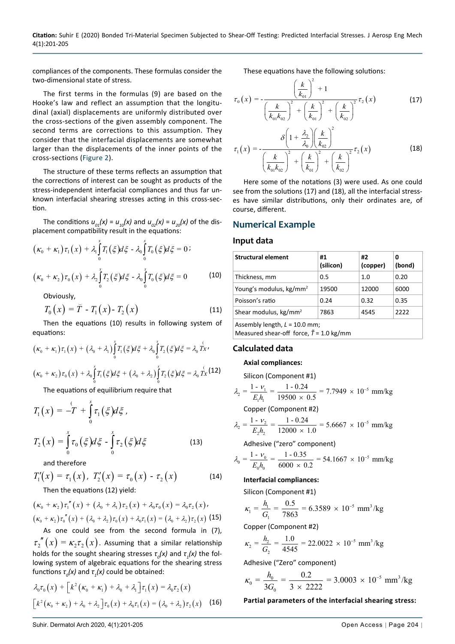**Citation:** Suhir E (2020) Bonded Tri-Material Specimen Subjected to Shear-Off Testing: Predicted Interfacial Stresses. J Aerosp Eng Mech 4(1):201-205

compliances of the components. These formulas consider the two-dimensional state of stress.

The first terms in the formulas (9) are based on the Hooke's law and reflect an assumption that the longitudinal (axial) displacements are uniformly distributed over the cross-sections of the given assembly component. The second terms are corrections to this assumption. They consider that the interfacial displacements are somewhat larger than the displacements of the inner points of the cross-sections ([Figure 2](#page-2-0)).

The structure of these terms reflects an assumption that the corrections of interest can be sought as products of the stress-independent interfacial compliances and thus far unknown interfacial shearing stresses acting in this cross-section.

The conditions  $u_{01}(x) = u_{10}(x)$  and  $u_{02}(x) = u_{20}(x)$  of the displacement compatibility result in the equations:

$$
(\kappa_0 + \kappa_1) \tau_1(x) + \lambda_1 \int_0^x T_1(\xi) d\xi - \lambda_0 \int_0^x T_0(\xi) d\xi = 0;
$$
  

$$
(\kappa_0 + \kappa_2) \tau_0(x) + \lambda_2 \int_0^x T_2(\xi) d\xi - \lambda_0 \int_0^x T_0(\xi) d\xi = 0
$$
 (10)

Obviously,

$$
T_0(x) = \tilde{T} - T_1(x) - T_2(x)
$$
 (11)

Then the equations (10) results in following system of equations:

$$
(\kappa_0 + \kappa_1)\tau_1(x) + (\lambda_0 + \lambda_1) \int_0^x T_1(\xi) d\xi + \lambda_0 \int_0^x T_2(\xi) d\xi = \lambda_0 \int_0^x r
$$
  

$$
(\kappa_0 + \kappa_2) \tau_0(x) + \lambda_0 \int_0^x T_1(\xi) d\xi + (\lambda_0 + \lambda_2) \int_0^x T_2(\xi) d\xi = \lambda_0 \int_0^x (12)
$$

The equations of equilibrium require that

$$
T_1(x) = -T + \int_0^x \tau_1(\xi) d\xi,
$$
  
\n
$$
T_2(x) = \int_0^x \tau_0(\xi) d\xi - \int_0^x \tau_2(\xi) d\xi
$$
\n(13)

and therefore

$$
T'_{1}(x) = \tau_{1}(x), \ T'_{2}(x) = \tau_{0}(x) - \tau_{2}(x) \qquad (14)
$$

Then the equations (12) yield:

$$
(\kappa_0 + \kappa_2) \tau_1''(x) + (\lambda_0 + \lambda_1) \tau_2(x) + \lambda_0 \tau_0(x) = \lambda_0 \tau_2(x),
$$
  

$$
(\kappa_0 + \kappa_2) \tau_0''(x) + (\lambda_0 + \lambda_2) \tau_0(x) + \lambda_0 \tau_1(x) = (\lambda_0 + \lambda_2) \tau_2(x)
$$
 (15)

As one could see from the second formula in (7),  $\tau''$   $(x)$  =  $\kappa$ <sub>2</sub> $\tau$ <sub>2</sub> $(x)$ . Assuming that a similar relationship holds for the sought shearing stresses *τ<sup>0</sup> (x)* and *τ<sup>1</sup> (x)* the following system of algebraic equations for the shearing stress functions *τ<sup>0</sup> (x)* and *τ<sup>1</sup> (x)* could be obtained:

$$
\lambda_0 \tau_0(x) + \left[k^2(\kappa_0 + \kappa_1) + \lambda_0 + \lambda_1\right] \tau_1(x) = \lambda_0 \tau_2(x)
$$
  

$$
\left[k^2(\kappa_0 + \kappa_2) + \lambda_0 + \lambda_2\right] \tau_0(x) + \lambda_0 \tau_1(x) = (\lambda_0 + \lambda_2) \tau_2(x)
$$
 (16)

These equations have the following solutions:

$$
\tau_0(x) = -\frac{\left(\frac{k}{k_{01}}\right)^2 + 1}{\left(\frac{k}{k_{01}k_{02}}\right)^2 + \left(\frac{k}{k_{01}}\right)^2 + \left(\frac{k}{k_{02}}\right)^2} \tau_2(x)
$$
(17)

$$
\tau_1(x) = -\frac{\delta \left(1 + \frac{\lambda_2}{\lambda_0} \right) \left(\frac{k}{k_{02}}\right)^2}{\left(\frac{k}{k_{01}k_{02}}\right)^2 + \left(\frac{k}{k_{01}}\right)^2 + \left(\frac{k}{k_{02}}\right)^2} \tau_2(x)
$$
(18)

Here some of the notations (3) were used. As one could see from the solutions (17) and (18), all the interfacial stresses have similar distributions, only their ordinates are, of course, different.

## **Numerical Example**

#### **Input data**

| <b>Structural element</b>           | #1<br>(silicon) | #2<br>(copper) | 0<br>(bond) |
|-------------------------------------|-----------------|----------------|-------------|
| Thickness, mm                       | 0.5             | 1.0            | 0.20        |
| Young's modulus, kg/mm <sup>2</sup> | 19500           | 12000          | 6000        |
| Poisson's ratio                     | 0.24            | 0.32           | 0.35        |
| Shear modulus, $kg/mm^2$            | 7863            | 4545           | ,,,,        |

Assembly length, *L* = 10.0 mm;

Measured shear-off force, *Ť* = 1.0 kg/mm

### **Calculated data**

#### **Axial compliances:**

Silicon (Component #1)

$$
\lambda_2 = \frac{1 - v_1}{E_1 h_1} = \frac{1 - 0.24}{19500 \times 0.5} = 7.7949 \times 10^{-5} \text{ mm/kg}
$$

Copper (Component #2)

$$
\lambda_2 = \frac{1 - v_2}{E_2 h_2} = \frac{1 - 0.24}{12000 \times 1.0} = 5.6667 \times 10^{-5} \text{ mm/kg}
$$

Adhesive ("zero" component)

$$
\lambda_0 = \frac{1 - v_0}{E_0 h_0} = \frac{1 - 0.35}{6000 \times 0.2} = 54.1667 \times 10^{-5} \text{ mm/kg}
$$

#### **Interfacial compliances:**

Silicon (Component #1)

$$
\kappa_1 = \frac{h_{\rm l}}{G_{\rm l}} = \frac{0.5}{7863} = 6.3589 \times 10^{-5} \text{ mm}^3/\text{kg}
$$

Copper (Component #2)

$$
\kappa_2 = \frac{h_2}{G_2} = \frac{1.0}{4545} = 22.0022 \times 10^{-5} \text{ mm}^3/\text{kg}
$$

Adhesive ("Zero" component)

$$
\kappa_0 = \frac{h_0}{3G_0} = \frac{0.2}{3 \times 2222} = 3.0003 \times 10^{-5} \text{ mm}^3/\text{kg}
$$

**Partial parameters of the interfacial shearing stress:**